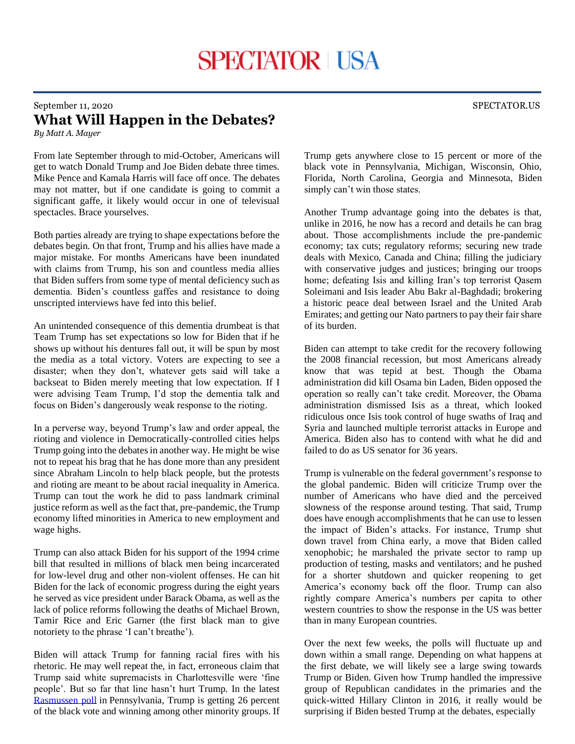## September 11, 2020 SPECTATOR.US **What Will Happen in the Debates?**

*By Matt A. Mayer*

From late September through to mid-October, Americans will get to watch Donald Trump and Joe Biden debate three times. Mike Pence and Kamala Harris will face off once. The debates may not matter, but if one candidate is going to commit a significant gaffe, it likely would occur in one of televisual spectacles. Brace yourselves.

Both parties already are trying to shape expectations before the debates begin. On that front, Trump and his allies have made a major mistake. For months Americans have been inundated with claims from Trump, his son and countless media allies that Biden suffers from some type of mental deficiency such as dementia. Biden's countless gaffes and resistance to doing unscripted interviews have fed into this belief.

An unintended consequence of this dementia drumbeat is that Team Trump has set expectations so low for Biden that if he shows up without his dentures fall out, it will be spun by most the media as a total victory. Voters are expecting to see a disaster; when they don't, whatever gets said will take a backseat to Biden merely meeting that low expectation. If I were advising Team Trump, I'd stop the dementia talk and focus on Biden's dangerously weak response to the rioting.

In a perverse way, beyond Trump's law and order appeal, the rioting and violence in Democratically-controlled cities helps Trump going into the debates in another way. He might be wise not to repeat his brag that he has done more than any president since Abraham Lincoln to help black people, but the protests and rioting are meant to be about racial inequality in America. Trump can tout the work he did to pass landmark criminal justice reform as well as the fact that, pre-pandemic, the Trump economy lifted minorities in America to new employment and wage highs.

Trump can also attack Biden for his support of the 1994 crime bill that resulted in millions of black men being incarcerated for low-level drug and other non-violent offenses. He can hit Biden for the lack of economic progress during the eight years he served as vice president under Barack Obama, as well as the lack of police reforms following the deaths of Michael Brown, Tamir Rice and Eric Garner (the first black man to give notoriety to the phrase 'I can't breathe').

Biden will attack Trump for fanning racial fires with his rhetoric. He may well repeat the, in fact, erroneous claim that Trump said white supremacists in Charlottesville were 'fine people'. But so far that line hasn't hurt Trump. In the latest [Rasmussen poll](https://www.rasmussenreports.com/public_content/politics/elections/election_2020/pennsylvania_trump_46_biden_46) in Pennsylvania, Trump is getting 26 percent of the black vote and winning among other minority groups. If Trump gets anywhere close to 15 percent or more of the black vote in Pennsylvania, Michigan, Wisconsin, Ohio, Florida, North Carolina, Georgia and Minnesota, Biden simply can't win those states.

Another Trump advantage going into the debates is that, unlike in 2016, he now has a record and details he can brag about. Those accomplishments include the pre-pandemic economy; tax cuts; regulatory reforms; securing new trade deals with Mexico, Canada and China; filling the judiciary with conservative judges and justices; bringing our troops home; defeating Isis and killing Iran's top terrorist Oasem Soleimani and Isis leader Abu Bakr al-Baghdadi; brokering a historic peace deal between Israel and the United Arab Emirates; and getting our Nato partners to pay their fair share of its burden.

Biden can attempt to take credit for the recovery following the 2008 financial recession, but most Americans already know that was tepid at best. Though the Obama administration did kill Osama bin Laden, Biden opposed the operation so really can't take credit. Moreover, the Obama administration dismissed Isis as a threat, which looked ridiculous once Isis took control of huge swaths of Iraq and Syria and launched multiple terrorist attacks in Europe and America. Biden also has to contend with what he did and failed to do as US senator for 36 years.

Trump is vulnerable on the federal government's response to the global pandemic. Biden will criticize Trump over the number of Americans who have died and the perceived slowness of the response around testing. That said, Trump does have enough accomplishments that he can use to lessen the impact of Biden's attacks. For instance, Trump shut down travel from China early, a move that Biden called xenophobic; he marshaled the private sector to ramp up production of testing, masks and ventilators; and he pushed for a shorter shutdown and quicker reopening to get America's economy back off the floor. Trump can also rightly compare America's numbers per capita to other western countries to show the response in the US was better than in many European countries.

Over the next few weeks, the polls will fluctuate up and down within a small range. Depending on what happens at the first debate, we will likely see a large swing towards Trump or Biden. Given how Trump handled the impressive group of Republican candidates in the primaries and the quick-witted Hillary Clinton in 2016, it really would be surprising if Biden bested Trump at the debates, especially